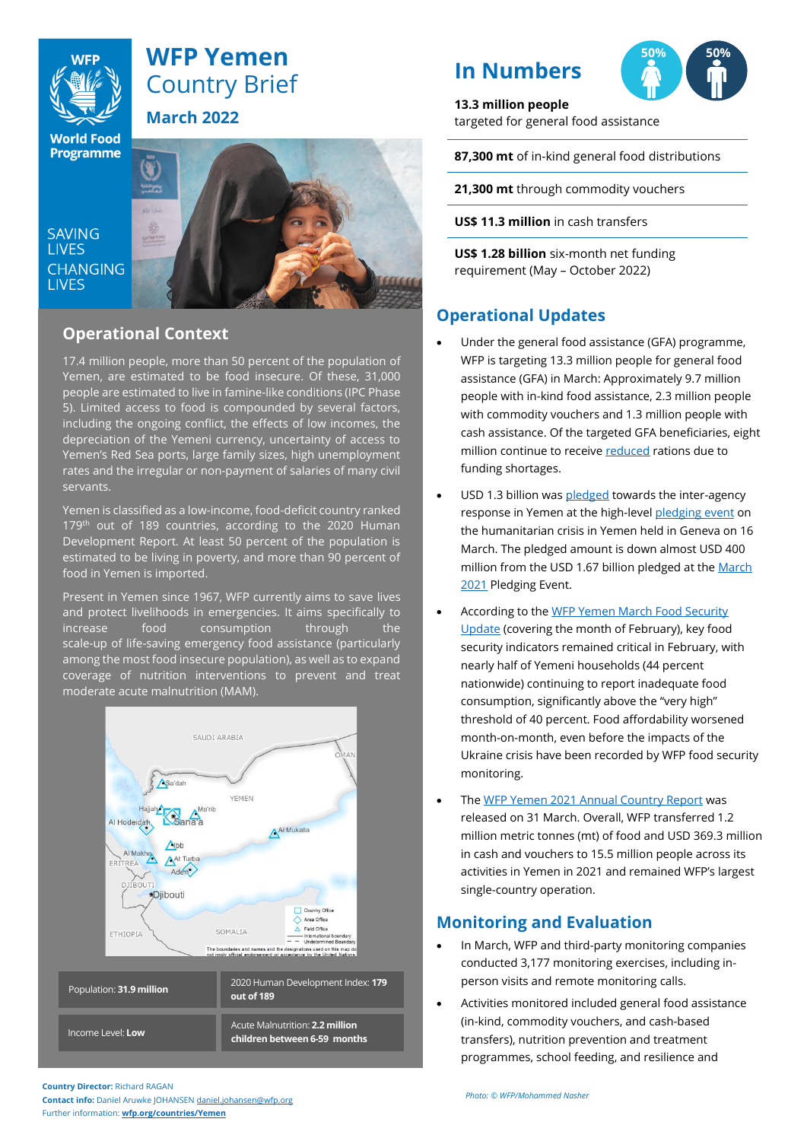

# **WFP Yemen** Country Brief **March 2022**

**World Food** Programme

**SAVING LIVES CHANGING LIVES** 



## **Operational Context**

17.4 million people, more than 50 percent of the population of Yemen, are estimated to be food insecure. Of these, 31,000 people are estimated to live in famine-like conditions (IPC Phase 5). Limited access to food is compounded by several factors, including the ongoing conflict, the effects of low incomes, the depreciation of the Yemeni currency, uncertainty of access to Yemen's Red Sea ports, large family sizes, high unemployment rates and the irregular or non-payment of salaries of many civil servants.

Yemen is classified as a low-income, food-deficit country ranked 179<sup>th</sup> out of 189 countries, according to the 2020 Human Development Report. At least 50 percent of the population is estimated to be living in poverty, and more than 90 percent of food in Yemen is imported.

Present in Yemen since 1967, WFP currently aims to save lives and protect livelihoods in emergencies. It aims specifically to increase food consumption through the scale-up of life-saving emergency food assistance (particularly among the most food insecure population), as well as to expand coverage of nutrition interventions to prevent and treat moderate acute malnutrition (MAM).



# **In Numbers**



### **13.3 million people**

targeted for general food assistance

**87,300 mt** of in-kind general food distributions

**21,300 mt** through commodity vouchers

**US\$ 11.3 million** in cash transfers

**US\$ 1.28 billion** six-month net funding requirement (May – October 2022)

# **Operational Updates**

- Under the general food assistance (GFA) programme, WFP is targeting 13.3 million people for general food assistance (GFA) in March: Approximately 9.7 million people with in-kind food assistance, 2.3 million people with commodity vouchers and 1.3 million people with cash assistance. Of the targeted GFA beneficiaries, eight million continue to receive [reduced](https://www.wfp.org/news/wfp-forced-cut-food-assistance-yemen-warns-impact-hunger-rises) rations due to funding shortages.
- USD 1.3 billion wa[s pledged](https://reliefweb.int/report/yemen/yemen-conference-2022-financial-announcements-last-updated-16-march-2022) towards the inter-agency response in Yemen at the high-leve[l pledging event](https://www.unocha.org/yemen2022) on the humanitarian crisis in Yemen held in Geneva on 16 March. The pledged amount is down almost USD 400 million from the USD 1.67 billion pledged at the [March](https://www.unocha.org/yemen2021)  [2021](https://www.unocha.org/yemen2021) Pledging Event.
- According to the WFP Yemen March Food Security [Update](https://reliefweb.int/report/yemen/wfp-yemen-food-security-update-march-2022) (covering the month of February), key food security indicators remained critical in February, with nearly half of Yemeni households (44 percent nationwide) continuing to report inadequate food consumption, significantly above the "very high" threshold of 40 percent. Food affordability worsened month-on-month, even before the impacts of the Ukraine crisis have been recorded by WFP food security monitoring.
- The [WFP Yemen 2021 Annual Country Report](https://www.wfp.org/operations/annual-country-report/?operation_id=YE01&year=2021#/23449) was released on 31 March. Overall, WFP transferred 1.2 million metric tonnes (mt) of food and USD 369.3 million in cash and vouchers to 15.5 million people across its activities in Yemen in 2021 and remained WFP's largest single-country operation.

## **Monitoring and Evaluation**

- In March, WFP and third-party monitoring companies conducted 3,177 monitoring exercises, including inperson visits and remote monitoring calls.
- Activities monitored included general food assistance (in-kind, commodity vouchers, and cash-based transfers), nutrition prevention and treatment programmes, school feeding, and resilience and

**Country Director:** Richard RAGAN

**Contact info:** Daniel Aruwke JOHANSEN [daniel.johansen@wfp.org](mailto:daniel.johansen@wfp.org) Further information: **[wfp.org/countries/Yemen](http://www.wfp.org/countries/Yemen)**

*Photo: © WFP/Mohammed Nasher*